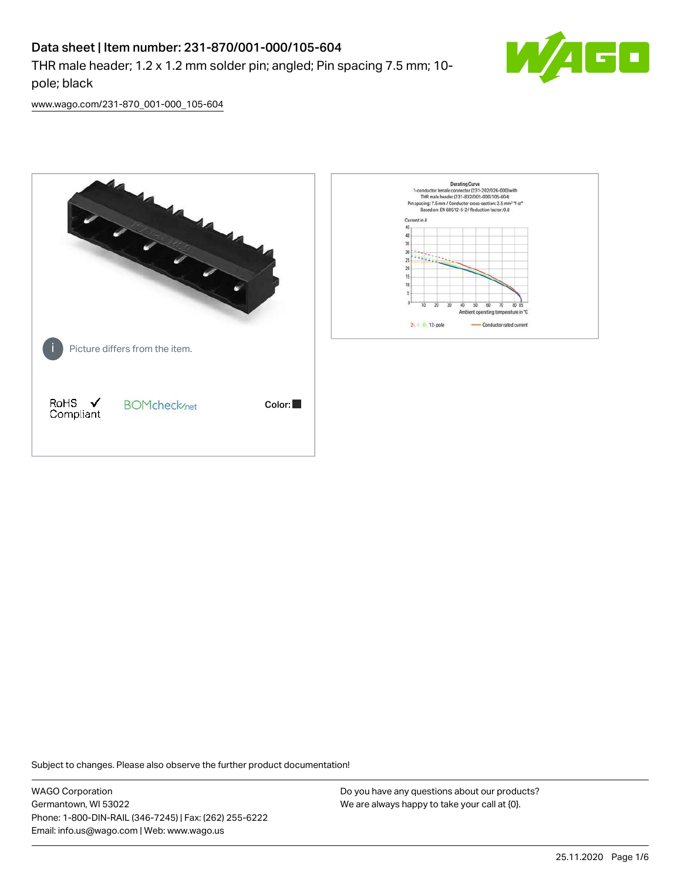## Data sheet | Item number: 231-870/001-000/105-604

THR male header; 1.2 x 1.2 mm solder pin; angled; Pin spacing 7.5 mm; 10 pole; black



[www.wago.com/231-870\\_001-000\\_105-604](http://www.wago.com/231-870_001-000_105-604)



Subject to changes. Please also observe the further product documentation!

WAGO Corporation Germantown, WI 53022 Phone: 1-800-DIN-RAIL (346-7245) | Fax: (262) 255-6222 Email: info.us@wago.com | Web: www.wago.us

Do you have any questions about our products? We are always happy to take your call at {0}.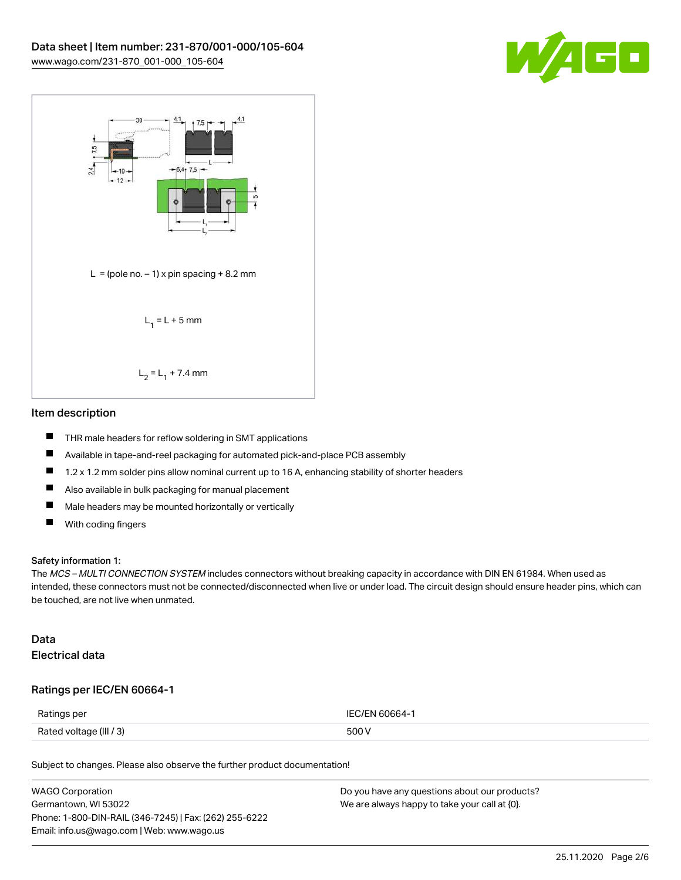



#### Item description

- $\blacksquare$ THR male headers for reflow soldering in SMT applications
- $\blacksquare$ Available in tape-and-reel packaging for automated pick-and-place PCB assembly
- П 1.2 x 1.2 mm solder pins allow nominal current up to 16 A, enhancing stability of shorter headers
- $\blacksquare$ Also available in bulk packaging for manual placement
- $\blacksquare$ Male headers may be mounted horizontally or vertically
- $\blacksquare$ With coding fingers

#### Safety information 1:

The MCS – MULTI CONNECTION SYSTEM includes connectors without breaking capacity in accordance with DIN EN 61984. When used as intended, these connectors must not be connected/disconnected when live or under load. The circuit design should ensure header pins, which can be touched, are not live when unmated.

#### Data Electrical data

#### Ratings per IEC/EN 60664-1

| Ratings per             | IFC/FN 60664-1 |
|-------------------------|----------------|
| Rated voltage (III / 3) | 500 V          |

Subject to changes. Please also observe the further product documentation!

| <b>WAGO Corporation</b>                                | Do you have any questions about our products? |
|--------------------------------------------------------|-----------------------------------------------|
| Germantown, WI 53022                                   | We are always happy to take your call at {0}. |
| Phone: 1-800-DIN-RAIL (346-7245)   Fax: (262) 255-6222 |                                               |
| Email: info.us@wago.com   Web: www.wago.us             |                                               |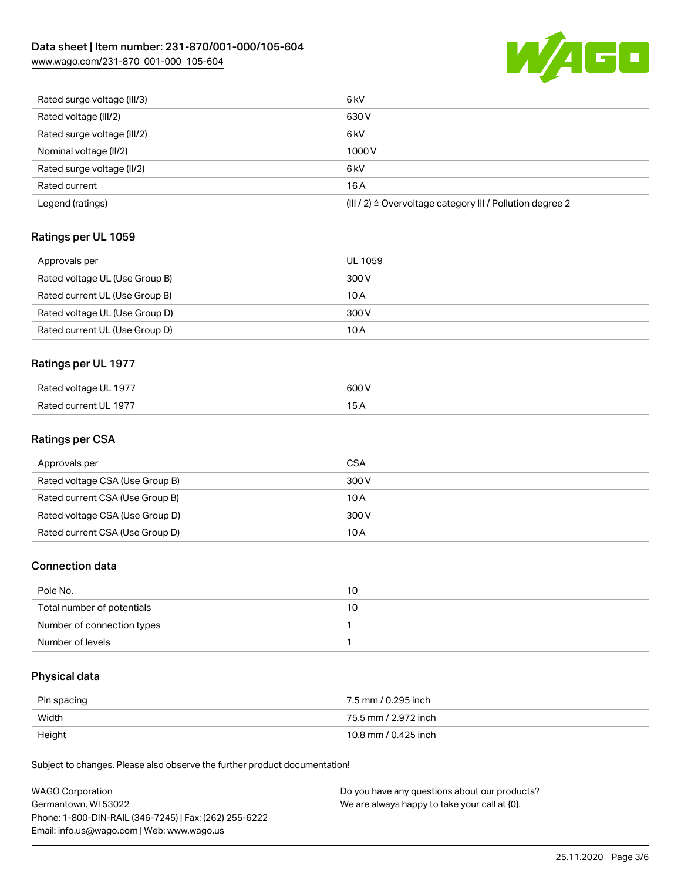# Data sheet | Item number: 231-870/001-000/105-604

[www.wago.com/231-870\\_001-000\\_105-604](http://www.wago.com/231-870_001-000_105-604)



| Rated surge voltage (III/3) | 6 <sub>kV</sub>                                                       |
|-----------------------------|-----------------------------------------------------------------------|
| Rated voltage (III/2)       | 630 V                                                                 |
| Rated surge voltage (III/2) | 6 <sub>k</sub> V                                                      |
| Nominal voltage (II/2)      | 1000V                                                                 |
| Rated surge voltage (II/2)  | 6 <sub>k</sub> V                                                      |
| Rated current               | 16A                                                                   |
| Legend (ratings)            | $(III / 2)$ $\triangle$ Overvoltage category III / Pollution degree 2 |

## Ratings per UL 1059

| Approvals per                  | UL 1059 |
|--------------------------------|---------|
| Rated voltage UL (Use Group B) | 300 V   |
| Rated current UL (Use Group B) | 10 A    |
| Rated voltage UL (Use Group D) | 300 V   |
| Rated current UL (Use Group D) | 10 A    |

## Ratings per UL 1977

| Rated voltage UL 1977 | 600 V |
|-----------------------|-------|
| Rated current UL 1977 | 5 A   |

#### Ratings per CSA

| Approvals per                   | CSA   |
|---------------------------------|-------|
| Rated voltage CSA (Use Group B) | 300 V |
| Rated current CSA (Use Group B) | 10 A  |
| Rated voltage CSA (Use Group D) | 300 V |
| Rated current CSA (Use Group D) | 10 A  |

### Connection data

| Pole No.                   | 10 |
|----------------------------|----|
| Total number of potentials | 10 |
| Number of connection types |    |
| Number of levels           |    |

## Physical data

| Pin spacing | 7.5 mm / 0.295 inch  |
|-------------|----------------------|
| Width       | 75.5 mm / 2.972 inch |
| Height      | 10.8 mm / 0.425 inch |

Subject to changes. Please also observe the further product documentation!

| <b>WAGO Corporation</b>                                | Do you have any questions about our products? |
|--------------------------------------------------------|-----------------------------------------------|
| Germantown, WI 53022                                   | We are always happy to take your call at {0}. |
| Phone: 1-800-DIN-RAIL (346-7245)   Fax: (262) 255-6222 |                                               |
| Email: info.us@wago.com   Web: www.wago.us             |                                               |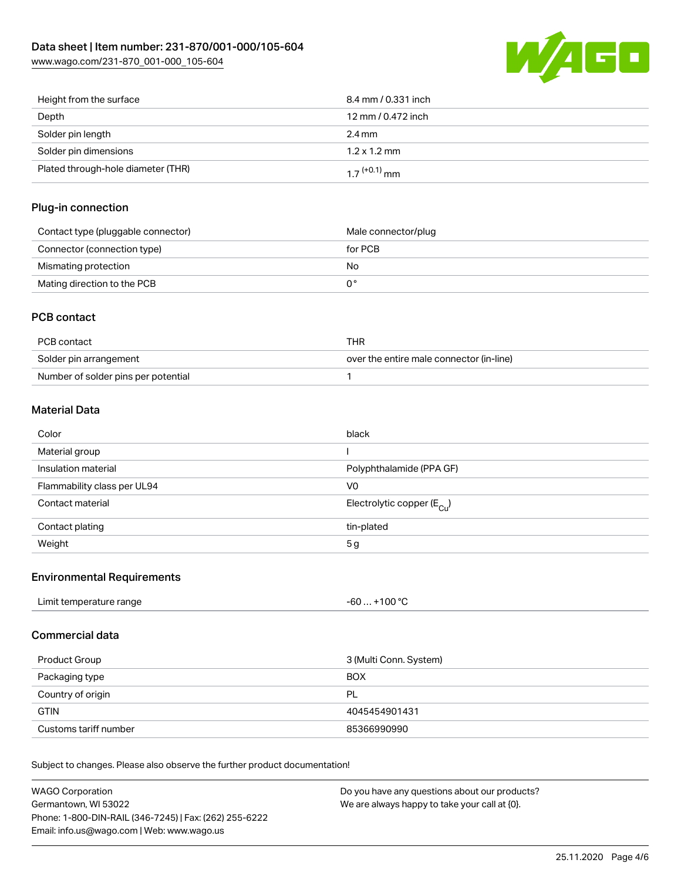

| Height from the surface            | 8.4 mm / 0.331 inch        |
|------------------------------------|----------------------------|
| Depth                              | 12 mm / 0.472 inch         |
| Solder pin length                  | $2.4 \text{ mm}$           |
| Solder pin dimensions              | $1.2 \times 1.2$ mm        |
| Plated through-hole diameter (THR) | $1.7$ <sup>(+0.1)</sup> mm |

#### Plug-in connection

| Contact type (pluggable connector) | Male connector/plug |
|------------------------------------|---------------------|
| Connector (connection type)        | for PCB             |
| Mismating protection               | No                  |
| Mating direction to the PCB        |                     |

### PCB contact

| PCB contact                         | THR                                      |
|-------------------------------------|------------------------------------------|
| Solder pin arrangement              | over the entire male connector (in-line) |
| Number of solder pins per potential |                                          |

### Material Data

| Color                       | black                                   |
|-----------------------------|-----------------------------------------|
| Material group              |                                         |
| Insulation material         | Polyphthalamide (PPA GF)                |
| Flammability class per UL94 | V0                                      |
| Contact material            | Electrolytic copper ( $E_{\text{Cl}}$ ) |
| Contact plating             | tin-plated                              |
| Weight                      | 5g                                      |

#### Environmental Requirements

| Limit temperature range<br>.<br>$\blacksquare$ . The contract of the contract of the contract of the contract of the contract of the contract of the contract of the contract of the contract of the contract of the contract of the contract of the contract of the | $. +100 °C$<br>-60 |
|----------------------------------------------------------------------------------------------------------------------------------------------------------------------------------------------------------------------------------------------------------------------|--------------------|
|                                                                                                                                                                                                                                                                      |                    |

#### Commercial data

| Product Group         | 3 (Multi Conn. System) |  |
|-----------------------|------------------------|--|
| Packaging type        | <b>BOX</b>             |  |
| Country of origin     | PL                     |  |
| <b>GTIN</b>           | 4045454901431          |  |
| Customs tariff number | 85366990990            |  |

Subject to changes. Please also observe the further product documentation!

| WAGO Corporation                                       | Do you have any questions about our products? |
|--------------------------------------------------------|-----------------------------------------------|
| Germantown, WI 53022                                   | We are always happy to take your call at {0}. |
| Phone: 1-800-DIN-RAIL (346-7245)   Fax: (262) 255-6222 |                                               |
| Email: info.us@wago.com   Web: www.wago.us             |                                               |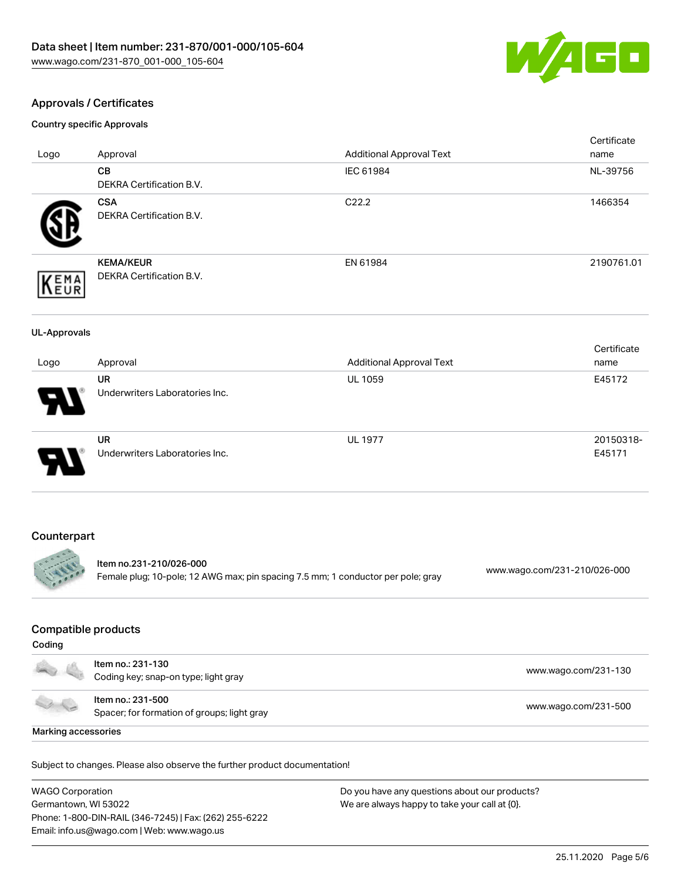

### Approvals / Certificates

Country specific Approvals

| Logo                | Approval                                                                         | <b>Additional Approval Text</b> | Certificate<br>name          |
|---------------------|----------------------------------------------------------------------------------|---------------------------------|------------------------------|
|                     | CB<br>DEKRA Certification B.V.                                                   | IEC 61984                       | NL-39756                     |
|                     | <b>CSA</b><br>DEKRA Certification B.V.                                           | C22.2                           | 1466354                      |
| EMA<br>EUR          | <b>KEMA/KEUR</b><br>DEKRA Certification B.V.                                     | EN 61984                        | 2190761.01                   |
| <b>UL-Approvals</b> |                                                                                  |                                 |                              |
| Logo                | Approval                                                                         | <b>Additional Approval Text</b> | Certificate<br>name          |
|                     | <b>UR</b><br>Underwriters Laboratories Inc.                                      | <b>UL 1059</b>                  | E45172                       |
|                     | <b>UR</b><br>Underwriters Laboratories Inc.                                      | <b>UL 1977</b>                  | 20150318-<br>E45171          |
| Counterpart         | Item no.231-210/026-000                                                          |                                 |                              |
|                     | Female plug; 10-pole; 12 AWG max; pin spacing 7.5 mm; 1 conductor per pole; gray |                                 | www.wago.com/231-210/026-000 |
|                     |                                                                                  |                                 |                              |

### Compatible products

| <b>Controller State Street</b> | ltem no.: 231-130<br>Coding key; snap-on type; light gray        | www.wago.com/231-130 |  |
|--------------------------------|------------------------------------------------------------------|----------------------|--|
|                                | Item no.: 231-500<br>Spacer; for formation of groups; light gray | www.wago.com/231-500 |  |
| Marking accessories            |                                                                  |                      |  |

Subject to changes. Please also observe the further product documentation!

WAGO Corporation Germantown, WI 53022 Phone: 1-800-DIN-RAIL (346-7245) | Fax: (262) 255-6222 Email: info.us@wago.com | Web: www.wago.us

Do you have any questions about our products? We are always happy to take your call at {0}.